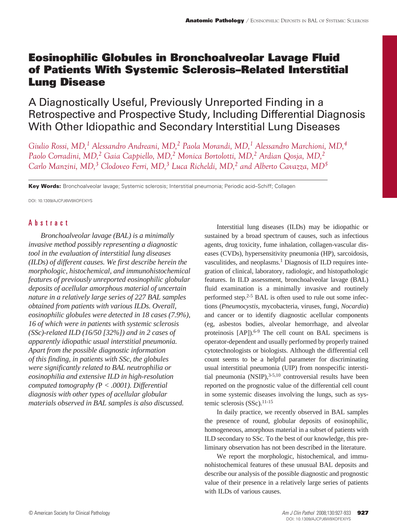# Eosinophilic Globules in Bronchoalveolar Lavage Fluid of Patients With Systemic Sclerosis–Related Interstitial Lung Disease

A Diagnostically Useful, Previously Unreported Finding in a Retrospective and Prospective Study, Including Differential Diagnosis With Other Idiopathic and Secondary Interstitial Lung Diseases

*Giulio Rossi, MD,1 Alessandro Andreani, MD,2 Paola Morandi, MD,1 Alessandro Marchioni, MD,4 Paolo Corradini, MD,2 Gaia Cappiello, MD,2 Monica Bortolotti, MD,2 Ardian Qosja, MD,2 Carlo Manzini, MD,3 Clodoveo Ferri, MD,3 Luca Richeldi, MD,2 and Alberto Cavazza, MD5*

Key Words: Bronchoalveolar lavage; Systemic sclerosis; Interstitial pneumonia; Periodic acid–Schiff; Collagen

DOI: 10.1309/AJCPJ6W9XOFEXIYS

# Abstract

*Bronchoalveolar lavage (BAL) is a minimally invasive method possibly representing a diagnostic tool in the evaluation of interstitial lung diseases (ILDs) of different causes. We first describe herein the morphologic, histochemical, and immunohistochemical features of previously unreported eosinophilic globular deposits of acellular amorphous material of uncertain nature in a relatively large series of 227 BAL samples obtained from patients with various ILDs. Overall, eosinophilic globules were detected in 18 cases (7.9%), 16 of which were in patients with systemic sclerosis (SSc)-related ILD (16/50 [32%]) and in 2 cases of apparently idiopathic usual interstitial pneumonia. Apart from the possible diagnostic information of this finding, in patients with SSc, the globules were significantly related to BAL neutrophilia or eosinophilia and extensive ILD in high-resolution computed tomography (*P *< .0001). Differential diagnosis with other types of acellular globular materials observed in BAL samples is also discussed.*

Interstitial lung diseases (ILDs) may be idiopathic or sustained by a broad spectrum of causes, such as infectious agents, drug toxicity, fume inhalation, collagen-vascular diseases (CVDs), hypersensitivity pneumonia (HP), sarcoidosis, vasculitides, and neoplasms.<sup>1</sup> Diagnosis of ILD requires integration of clinical, laboratory, radiologic, and histopathologic features. In ILD assessment, bronchoalveolar lavage (BAL) fluid examination is a minimally invasive and routinely performed step.<sup>2-5</sup> BAL is often used to rule out some infections (*Pneumocystis,* mycobacteria, viruses, fungi, *Nocardia*) and cancer or to identify diagnostic acellular components (eg, asbestos bodies, alveolar hemorrhage, and alveolar proteinosis [AP]).<sup>6-9</sup> The cell count on BAL specimens is operator-dependent and usually performed by properly trained cytotechnologists or biologists. Although the differential cell count seems to be a helpful parameter for discriminating usual interstitial pneumonia (UIP) from nonspecific interstitial pneumonia  $(NSIP)$ ,<sup>3-5,10</sup> controversial results have been reported on the prognostic value of the differential cell count in some systemic diseases involving the lungs, such as systemic sclerosis (SSc).<sup>11-15</sup>

In daily practice, we recently observed in BAL samples the presence of round, globular deposits of eosinophilic, homogeneous, amorphous material in a subset of patients with ILD secondary to SSc. To the best of our knowledge, this preliminary observation has not been described in the literature.

We report the morphologic, histochemical, and immunohistochemical features of these unusual BAL deposits and describe our analysis of the possible diagnostic and prognostic value of their presence in a relatively large series of patients with ILDs of various causes.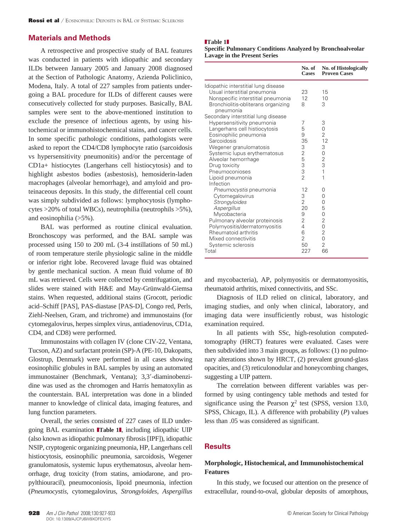## **Materials and Methods**

A retrospective and prospective study of BAL features was conducted in patients with idiopathic and secondary ILDs between January 2005 and January 2008 diagnosed at the Section of Pathologic Anatomy, Azienda Policlinico, Modena, Italy. A total of 227 samples from patients undergoing a BAL procedure for ILDs of different causes were consecutively collected for study purposes. Basically, BAL samples were sent to the above-mentioned institution to exclude the presence of infectious agents, by using histochemical or immunohistochemical stains, and cancer cells. In some specific pathologic conditions, pathologists were asked to report the CD4/CD8 lymphocyte ratio (sarcoidosis vs hypersensitivity pneumonitis) and/or the percentage of CD1a+ histiocytes (Langerhans cell histiocytosis) and to highlight asbestos bodies (asbestosis), hemosiderin-laden macrophages (alveolar hemorrhage), and amyloid and proteinaceous deposits. In this study, the differential cell count was simply subdivided as follows: lymphocytosis (lymphocytes >20% of total WBCs), neutrophilia (neutrophils >5%), and eosinophilia (>5%).

BAL was performed as routine clinical evaluation. Bronchoscopy was performed, and the BAL sample was processed using 150 to 200 mL (3-4 instillations of 50 mL) of room temperature sterile physiologic saline in the middle or inferior right lobe. Recovered lavage fluid was obtained by gentle mechanical suction. A mean fluid volume of 80 mL was retrieved. Cells were collected by centrifugation, and slides were stained with H&E and May-Grünwald-Giemsa stains. When requested, additional stains (Grocott, periodic acid–Schiff [PAS], PAS-diastase [PAS-D], Congo red, Perls, Ziehl-Neelsen, Gram, and trichrome) and immunostains (for cytomegalovirus, herpes simplex virus, antiadenovirus, CD1a, CD4, and CD8) were performed.

Immunostains with collagen IV (clone CIV-22, Ventana, Tucson, AZ) and surfactant protein (SP)-A (PE-10, Dakopatts, Glostrup, Denmark) were performed in all cases showing eosinophilic globules in BAL samples by using an automated immunostainer (Benchmark, Ventana); 3,3'-diaminobenzidine was used as the chromogen and Harris hematoxylin as the counterstain. BAL interpretation was done in a blinded manner to knowledge of clinical data, imaging features, and lung function parameters.

Overall, the series consisted of 227 cases of ILD undergoing BAL examination **Table 1**, including idiopathic UIP (also known as idiopathic pulmonary fibrosis [IPF]), idiopathic NSIP, cryptogenic organizing pneumonia, HP, Langerhans cell histiocytosis, eosinophilic pneumonia, sarcoidosis, Wegener granulomatosis, systemic lupus erythematosus, alveolar hemorrhage, drug toxicity (from statins, amiodarone, and propylthiouracil), pneumoconiosis, lipoid pneumonia, infection (*Pneumocystis,* cytomegalovirus, *Strongyloides*, *Aspergillus* 

#### **Table 1**

**Specific Pulmonary Conditions Analyzed by Bronchoalveolar Lavage in the Present Series**

|                                                                                                                                                                                                                                                                                                  | <b>Cases</b>                                                                               | No. of No. of Histologically<br><b>Proven Cases</b>                                                             |
|--------------------------------------------------------------------------------------------------------------------------------------------------------------------------------------------------------------------------------------------------------------------------------------------------|--------------------------------------------------------------------------------------------|-----------------------------------------------------------------------------------------------------------------|
| Idiopathic interstitial lung disease<br>Usual interstitial pneumonia<br>Nonspecific interstitial pneumonia<br>Bronchiolitis-obliterans organizing<br>pneumonia                                                                                                                                   | 23<br>12<br>8                                                                              | 15<br>10<br>3                                                                                                   |
| Secondary interstitial lung disease<br>Hypersensitivity pneumonia<br>Langerhans cell histiocytosis<br>Eosinophilic pneumonia<br>Sarcoidosis<br>Wegener granulomatosis<br>Systemic lupus erythematosus<br>Alveolar hemorrhage<br>Drug toxicity<br>Pneumoconioses<br>Lipoid pneumonia<br>Infection | 7<br>5<br>9<br>35<br>3<br>$\begin{array}{c}\n 2 \\ 3 \\ 3\n \end{array}$<br>$\mathfrak{D}$ | 3<br>0<br>$\overline{2}$<br>12<br>3<br>$\overline{0}$<br>$\frac{2}{3}$<br>$\overline{1}$<br>1                   |
| Pneumocystis pneumonia<br>Cytomegalovirus<br>Strongyloides<br>Aspergillus<br>Mycobacteria<br>Pulmonary alveolar proteinosis<br>Polymyositis/dermatomyositis<br>Rheumatoid arthritis<br>Mixed connectivitis<br>Systemic sclerosis<br>Total                                                        | 12<br>3<br>$\overline{2}$<br>20<br>9<br>2<br>4<br>6<br>$\overline{2}$<br>50<br>227         | 0<br>0<br>0<br>5<br>0<br>$\overline{2}$<br>$\overline{0}$<br>$\overline{2}$<br>$\Omega$<br>$\overline{2}$<br>66 |

and mycobacteria), AP, polymyositis or dermatomyositis, rheumatoid arthritis, mixed connectivitis, and SSc.

Diagnosis of ILD relied on clinical, laboratory, and imaging studies, and only when clinical, laboratory, and imaging data were insufficiently robust, was histologic examination required.

In all patients with SSc, high-resolution computedtomography (HRCT) features were evaluated. Cases were then subdivided into 3 main groups, as follows: (1) no pulmonary alterations shown by HRCT, (2) prevalent ground-glass opacities, and (3) reticulonodular and honeycombing changes, suggesting a UIP pattern.

The correlation between different variables was performed by using contingency table methods and tested for significance using the Pearson  $\chi^2$  test (SPSS, version 13.0, SPSS, Chicago, IL). A difference with probability (*P*) values less than .05 was considered as significant.

# **Results**

## **Morphologic, Histochemical, and Immunohistochemical Features**

In this study, we focused our attention on the presence of extracellular, round-to-oval, globular deposits of amorphous,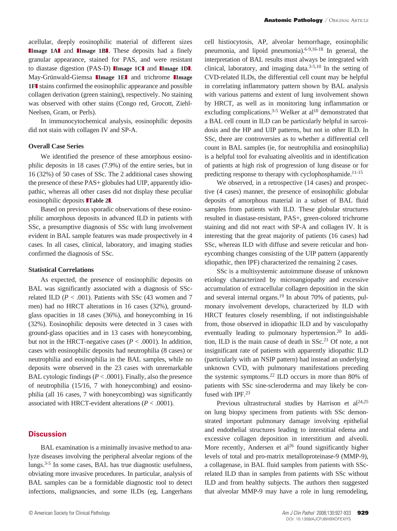acellular, deeply eosinophilic material of different sizes **Image 1Al** and **IImage 1BL** These deposits had a finely granular appearance, stained for PAS, and were resistant to diastase digestion (PAS-D) **IImage 1Cl** and **IImage 1Dl**. May-Grünwald-Giemsa **IImage 1EI** and trichrome **IImage 1FI** stains confirmed the eosinophilic appearance and possible collagen derivation (green staining), respectively. No staining was observed with other stains (Congo red, Grocott, Ziehl-Neelsen, Gram, or Perls).

In immunocytochemical analysis, eosinophilic deposits did not stain with collagen IV and SP-A.

#### **Overall Case Series**

We identified the presence of these amorphous eosinophilic deposits in 18 cases (7.9%) of the entire series, but in 16 (32%) of 50 cases of SSc. The 2 additional cases showing the presence of these PAS+ globules had UIP, apparently idiopathic, whereas all other cases did not display these peculiar eosinophilic deposits **Table 21**.

Based on previous sporadic observations of these eosinophilic amorphous deposits in advanced ILD in patients with SSc, a presumptive diagnosis of SSc with lung involvement evident in BAL sample features was made prospectively in 4 cases. In all cases, clinical, laboratory, and imaging studies confirmed the diagnosis of SSc.

#### **Statistical Correlations**

As expected, the presence of eosinophilic deposits on BAL was significantly associated with a diagnosis of SScrelated ILD ( $P < .001$ ). Patients with SSc (43 women and 7 men) had no HRCT alterations in 16 cases (32%), groundglass opacities in 18 cases (36%), and honeycombing in 16 (32%). Eosinophilic deposits were detected in 3 cases with ground-glass opacities and in 13 cases with honeycombing, but not in the HRCT-negative cases (*P* < .0001). In addition, cases with eosinophilic deposits had neutrophilia (8 cases) or neutrophilia and eosinophilia in the BAL samples, while no deposits were observed in the 23 cases with unremarkable BAL cytologic findings  $(P < .0001)$ . Finally, also the presence of neutrophilia (15/16, 7 with honeycombing) and eosinophilia (all 16 cases, 7 with honeycombing) was significantly associated with HRCT-evident alterations  $(P < .0001)$ .

## **Discussion**

BAL examination is a minimally invasive method to analyze diseases involving the peripheral alveolar regions of the lungs.3-5 In some cases, BAL has true diagnostic usefulness, obviating more invasive procedures. In particular, analysis of BAL samples can be a formidable diagnostic tool to detect infections, malignancies, and some ILDs (eg, Langerhans

cell histiocytosis, AP, alveolar hemorrhage, eosinophilic pneumonia, and lipoid pneumonia).<sup>6-9,16-18</sup> In general, the interpretation of BAL results must always be integrated with clinical, laboratory, and imaging data.3-5,10 In the setting of CVD-related ILDs, the differential cell count may be helpful in correlating inflammatory pattern shown by BAL analysis with various patterns and extent of lung involvement shown by HRCT, as well as in monitoring lung inflammation or excluding complications.<sup>3-5</sup> Welker at  $al^{10}$  demonstrated that a BAL cell count in ILD can be particularly helpful in sarcoidosis and the HP and UIP patterns, but not in other ILD. In SSc, there are controversies as to whether a differential cell count in BAL samples (ie, for neutrophilia and eosinophilia) is a helpful tool for evaluating alveolitis and in identification of patients at high risk of progression of lung disease or for predicting response to therapy with cyclophosphamide.<sup>11-15</sup>

We observed, in a retrospective (14 cases) and prospective (4 cases) manner, the presence of eosinophilic globular deposits of amorphous material in a subset of BAL fluid samples from patients with ILD. These globular structures resulted in diastase-resistant, PAS+, green-colored trichrome staining and did not react with SP-A and collagen IV. It is interesting that the great majority of patients (16 cases) had SSc, whereas ILD with diffuse and severe reticular and honeycombing changes consisting of the UIP pattern (apparently idiopathic, then IPF) characterized the remaining 2 cases.

SSc is a multisystemic autoimmune disease of unknown etiology characterized by microangiopathy and excessive accumulation of extracellular collagen deposition in the skin and several internal organs.<sup>19</sup> In about 70% of patients, pulmonary involvement develops, characterized by ILD with HRCT features closely resembling, if not indistinguishable from, those observed in idiopathic ILD and by vasculopathy eventually leading to pulmonary hypertension.<sup>20</sup> In addition, ILD is the main cause of death in SSc.<sup>21</sup> Of note, a not insignificant rate of patients with apparently idiopathic ILD (particularly with an NSIP pattern) had instead an underlying unknown CVD, with pulmonary manifestations preceding the systemic symptoms.22 ILD occurs in more than 80% of patients with SSc sine-scleroderma and may likely be confused with IPF.<sup>23</sup>

Previous ultrastructural studies by Harrison et  $al^{24,25}$ on lung biopsy specimens from patients with SSc demonstrated important pulmonary damage involving epithelial and endothelial structures leading to interstitial edema and excessive collagen deposition in interstitium and alveoli. More recently, Andersen et  $al^{26}$  found significantly higher levels of total and pro-matrix metalloproteinase-9 (MMP-9), a collagenase, in BAL fluid samples from patients with SScrelated ILD than in samples from patients with SSc without ILD and from healthy subjects. The authors then suggested that alveolar MMP-9 may have a role in lung remodeling,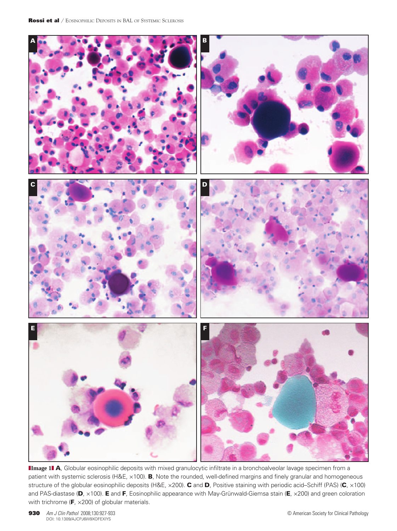

**IImage 11 A**, Globular eosinophilic deposits with mixed granulocytic infiltrate in a bronchoalveolar lavage specimen from a patient with systemic sclerosis (H&E,  $\times$ 100). **B**, Note the rounded, well-defined margins and finely granular and homogeneous structure of the globular eosinophilic deposits (H&E, x200). C and D, Positive staining with periodic acid–Schiff (PAS) (C, x100) and PAS-diastase (D, ×100). E and F, Eosinophilic appearance with May-Grünwald-Giemsa stain (E, ×200) and green coloration with trichrome (F,  $\times$ 200) of globular materials.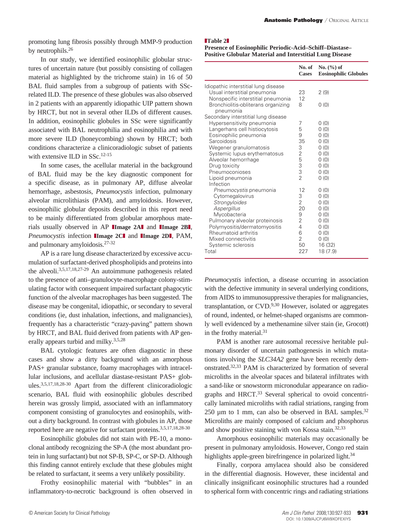promoting lung fibrosis possibly through MMP-9 production by neutrophils.<sup>26</sup>

In our study, we identified eosinophilic globular structures of uncertain nature (but possibly consisting of collagen material as highlighted by the trichrome stain) in 16 of 50 BAL fluid samples from a subgroup of patients with SScrelated ILD. The presence of these globules was also observed in 2 patients with an apparently idiopathic UIP pattern shown by HRCT, but not in several other ILDs of different causes. In addition, eosinophilic globules in SSc were significantly associated with BAL neutrophilia and eosinophilia and with more severe ILD (honeycombing) shown by HRCT; both conditions characterize a clinicoradiologic subset of patients with extensive ILD in SSc.<sup>12-15</sup>

In some cases, the acellular material in the background of BAL fluid may be the key diagnostic component for a specific disease, as in pulmonary AP, diffuse alveolar hemorrhage, asbestosis, *Pneumocystis* infection, pulmonary alveolar microlithiasis (PAM), and amyloidosis. However, eosinophilic globular deposits described in this report need to be mainly differentiated from globular amorphous materials usually observed in AP **IImage 2AI** and **IImage 2BI**, *Pneumocystis* infection **IImage 2CI** and **IImage 2DI**, PAM, and pulmonary amyloidosis.27-32

AP is a rare lung disease characterized by excessive accumulation of surfactant-derived phospholipids and proteins into the alveoli.3,5,17,18,27-29 An autoimmune pathogenesis related to the presence of anti–granulocyte-macrophage colony-stimulating factor with consequent impaired surfactant phagocytic function of the alveolar macrophages has been suggested. The disease may be congenital, idiopathic, or secondary to several conditions (ie, dust inhalation, infections, and malignancies), frequently has a characteristic "crazy-paving" pattern shown by HRCT, and BAL fluid derived from patients with AP generally appears turbid and milky.<sup>3,5,28</sup>

BAL cytologic features are often diagnostic in these cases and show a dirty background with an amorphous PAS+ granular substance, foamy macrophages with intracellular inclusions, and acellular diastase-resistant PAS+ globules.3,5,17,18,28-30 Apart from the different clinicoradiologic scenario, BAL fluid with eosinophilic globules described herein was grossly limpid, associated with an inflammatory component consisting of granulocytes and eosinophils, without a dirty background. In contrast with globules in AP, those reported here are negative for surfactant proteins.3,5,17,18,28-30

Eosinophilic globules did not stain with PE-10, a monoclonal antibody recognizing the SP-A (the most abundant protein in lung surfactant) but not SP-B, SP-C, or SP-D. Although this finding cannot entirely exclude that these globules might be related to surfactant, it seems a very unlikely possibility.

Frothy eosinophilic material with "bubbles" in an inflammatory-to-necrotic background is often observed in

#### **Table 2**

**Presence of Eosinophilic Periodic-Acid–Schiff–Diastase– Positive Globular Material and Interstitial Lung Disease**

|                                                                                                            | No. of<br><b>Cases</b> | No. $(\% )$ of<br><b>Eosinophilic Globules</b> |
|------------------------------------------------------------------------------------------------------------|------------------------|------------------------------------------------|
| Idiopathic interstitial lung disease<br>Usual interstitial pneumonia<br>Nonspecific interstitial pneumonia | 23<br>12               | 2(9)                                           |
| Bronchiolitis-obliterans organizing<br>pneumonia<br>Secondary interstitial lung disease                    | 8                      | 0(0)                                           |
| Hypersensitivity pneumonia                                                                                 | 7                      | 0(0)                                           |
| Langerhans cell histiocytosis                                                                              | 5                      | 0(0)                                           |
| Eosinophilic pneumonia                                                                                     | 9                      | 0(0)                                           |
| Sarcoidosis                                                                                                | 35                     | 0(0)                                           |
| Wegener granulomatosis                                                                                     | 3                      | 0(0)                                           |
| Systemic lupus erythematosus                                                                               | $\overline{c}$         | 0(0)                                           |
| Alveolar hemorrhage                                                                                        | 5                      | 0(0)                                           |
| Drug toxicity                                                                                              | 3                      | 0(0)                                           |
| Pneumoconioses                                                                                             | 3                      | 0(0)                                           |
| Lipoid pneumonia<br>Infection                                                                              | $\mathfrak{D}$         | 0(0)                                           |
| Pneumocystis pneumonia                                                                                     | 12                     | 0(0)                                           |
| Cytomegalovirus                                                                                            | 3                      | 0(0)                                           |
| Strongyloides                                                                                              | $\overline{2}$         | 0(0)                                           |
| Aspergillus                                                                                                | 20                     | 0(0)                                           |
| Mycobacteria                                                                                               | 9                      | 0(0)                                           |
| Pulmonary alveolar proteinosis                                                                             | $\overline{2}$         | 0(0)                                           |
| Polymyositis/dermatomyositis                                                                               | 4                      | 0(0)                                           |
| Rheumatoid arthritis                                                                                       | 6                      | 0(0)                                           |
| Mixed connectivitis                                                                                        | $\overline{2}$         | 0(0)                                           |
| Systemic sclerosis<br>Total                                                                                | 50<br>227              | 16 (32)<br>18 (7.9)                            |

*Pneumocystis* infection, a disease occurring in association with the defective immunity in several underlying conditions, from AIDS to immunosuppressive therapies for malignancies, transplantation, or  $CVD$ .<sup>9,30</sup> However, isolated or aggregates of round, indented, or helmet-shaped organisms are commonly well evidenced by a methenamine silver stain (ie, Grocott) in the frothy material.<sup>31</sup>

PAM is another rare autosomal recessive heritable pulmonary disorder of uncertain pathogenesis in which mutations involving the *SLC34A2* gene have been recently demonstrated.32,33 PAM is characterized by formation of several microliths in the alveolar spaces and bilateral infiltrates with a sand-like or snowstorm micronodular appearance on radiographs and HRCT.<sup>33</sup> Several spherical to ovoid concentrically laminated microliths with radial striations, ranging from 250  $\mu$ m to 1 mm, can also be observed in BAL samples.<sup>32</sup> Microliths are mainly composed of calcium and phosphorus and show positive staining with von Kossa stain.32,33

Amorphous eosinophilic materials may occasionally be present in pulmonary amyloidosis. However, Congo red stain highlights apple-green birefringence in polarized light.<sup>34</sup>

Finally, corpora amylacea should also be considered in the differential diagnosis. However, these incidental and clinically insignificant eosinophilic structures had a rounded to spherical form with concentric rings and radiating striations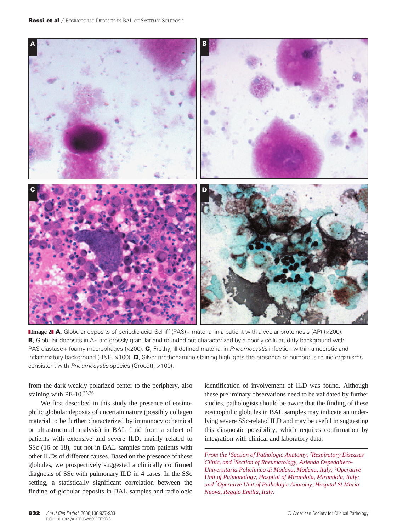

**Image 21 A**, Globular deposits of periodic acid–Schiff (PAS)+ material in a patient with alveolar proteinosis (AP) (×200). B, Globular deposits in AP are grossly granular and rounded but characterized by a poorly cellular, dirty background with PAS-diastase+ foamy macrophages (×200). C, Frothy, ill-defined material in *Pneumocystis* infection within a necrotic and inflammatory background (H&E,  $\times$ 100). D, Silver methenamine staining highlights the presence of numerous round organisms consistent with *Pneumocystis* species (Grocott, ×100).

from the dark weakly polarized center to the periphery, also staining with PE- $10^{35,36}$ 

We first described in this study the presence of eosinophilic globular deposits of uncertain nature (possibly collagen material to be further characterized by immunocytochemical or ultrastructural analysis) in BAL fluid from a subset of patients with extensive and severe ILD, mainly related to SSc (16 of 18), but not in BAL samples from patients with other ILDs of different causes. Based on the presence of these globules, we prospectively suggested a clinically confirmed diagnosis of SSc with pulmonary ILD in 4 cases. In the SSc setting, a statistically significant correlation between the finding of globular deposits in BAL samples and radiologic

identification of involvement of ILD was found. Although these preliminary observations need to be validated by further studies, pathologists should be aware that the finding of these eosinophilic globules in BAL samples may indicate an underlying severe SSc-related ILD and may be useful in suggesting this diagnostic possibility, which requires confirmation by integration with clinical and laboratory data.

*From the 1Section of Pathologic Anatomy, 2Respiratory Diseases Clinic, and 3Section of Rheumatology, Azienda Ospedaliero-Universitaria Policlinico di Modena, Modena, Italy; 4Operative Unit of Pulmonology, Hospital of Mirandola, Mirandola, Italy; and 5Operative Unit of Pathologic Anatomy, Hospital St Maria Nuova, Reggio Emilia, Italy.*